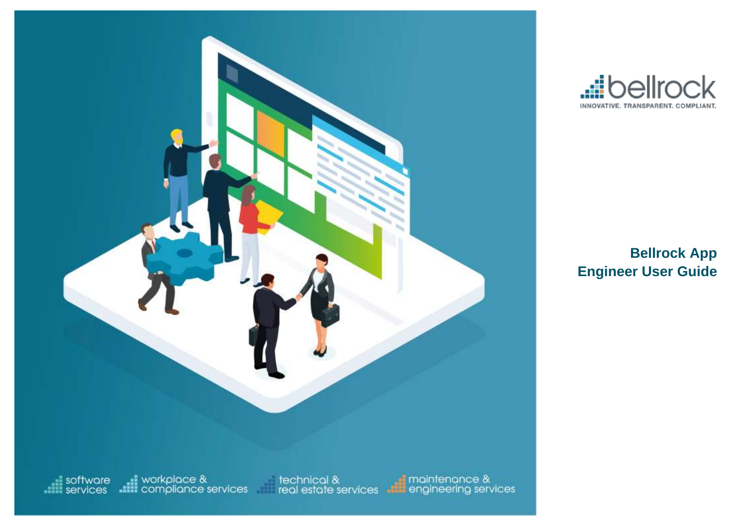



**Bellrock App Engineer User Guide**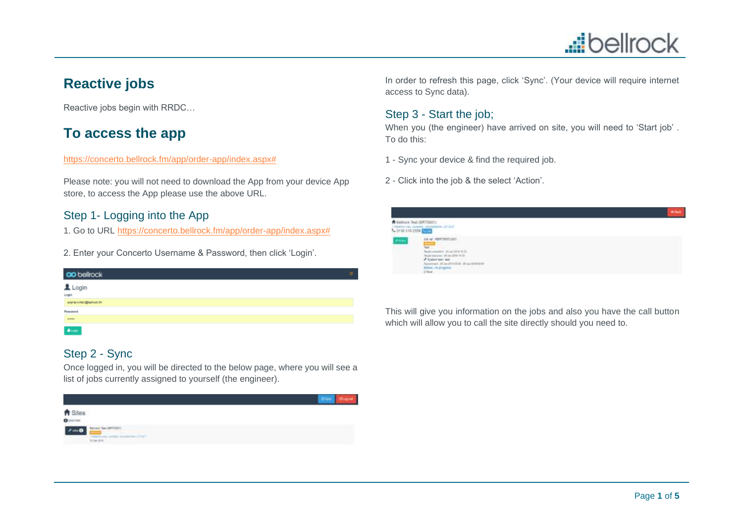# **...i**bellrock

# **Reactive jobs**

Reactive jobs begin with RRDC…

# **To access the app**

#### [https://concerto.bellrock.fm/app/order-app/index.aspx#](https://concerto.bellrock.fm/app/order-app/index.aspx)

Please note: you will not need to download the App from your device App store, to access the App please use the above URL.

### Step 1- Logging into the App

1. Go to URL [https://concerto.bellrock.fm/app/order-app/index.aspx#](https://concerto.bellrock.fm/app/order-app/index.aspx)

2. Enter your Concerto Username & Password, then click 'Login'.

| <b>ao</b> bellrock        | ø. |
|---------------------------|----|
| Login<br><sub>Login</sub> |    |
|                           |    |
| sophia tultor@belrock.fm  |    |
| Password                  |    |
| $\cdots$                  |    |
| $\pmb{\hat{m}}$ Lopin     |    |

### Step 2 - Sync

Once logged in, you will be directed to the below page, where you will see a list of jobs currently assigned to yourself (the engineer).



In order to refresh this page, click 'Sync'. (Your device will require internet access to Sync data).

### Step 3 - Start the job;

When you (the engineer) have arrived on site, you will need to 'Start job' . To do this:

- 1 Sync your device & find the required job.
- 2 Click into the job & the select 'Action'.



This will give you information on the jobs and also you have the call button which will allow you to call the site directly should you need to.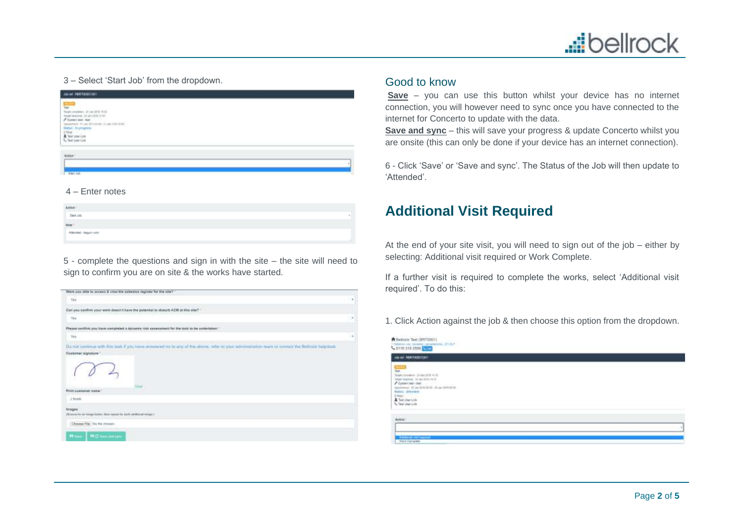

#### 3 – Select 'Start Job' from the dropdown.

#### 4 – Enter notes

| Action '              |   |
|-----------------------|---|
| Start Job             | × |
| Note <sup>+</sup>     |   |
| Atlended - begun vork |   |
|                       |   |

5 - complete the questions and sign in with the site – the site will need to sign to confirm you are on site & the works have started.

| there you alde to access & view the asbestos register for the site?                                                                                                            |        |
|--------------------------------------------------------------------------------------------------------------------------------------------------------------------------------|--------|
| Ves                                                                                                                                                                            | $\sim$ |
| the complete complete complete the state of the state<br>Cart you confirm your work stees it have the potential to disturb ACR at this site?                                   |        |
| Yes                                                                                                                                                                            | ٠      |
| Please ourfirm you have completed a stylumic risk assessment for the task to be undertaken."                                                                                   |        |
| Yés                                                                                                                                                                            | ×      |
| Do not continue with this took if you have answered no to any of the above, refer to your administration team or contact the Bethook helpdeck<br>Customer signature 1<br>36.48 |        |
| Print customer issue 1                                                                                                                                                         |        |
| J bases                                                                                                                                                                        |        |
| <b>Images</b><br>(Branne for an emape below, then, repeat for work additional emape).                                                                                          |        |
| Choose File: The RM choses                                                                                                                                                     |        |
| Mitsun   M.C. taxe and pre-                                                                                                                                                    |        |

### Good to know

**Save** – you can use this button whilst your device has no internet connection, you will however need to sync once you have connected to the internet for Concerto to update with the data.

**Save and sync** – this will save your progress & update Concerto whilst you are onsite (this can only be done if your device has an internet connection).

6 - Click 'Save' or 'Save and sync'. The Status of the Job will then update to 'Attended'.

### **Additional Visit Required**

At the end of your site visit, you will need to sign out of the job – either by selecting: Additional visit required or Work Complete.

If a further visit is required to complete the works, select 'Additional visit required'. To do this:

1. Click Action against the job & then choose this option from the dropdown.

| ask sell <b>HINITOGERIZI</b> N'T                                                                                                                                                                                                  |  |  |
|-----------------------------------------------------------------------------------------------------------------------------------------------------------------------------------------------------------------------------------|--|--|
| $\overline{a}$<br>Tarat.<br>Terpet consistent (21 year 2019 Fell 01<br>Wait regular 13 An Internet<br>Naprement, 23 Jul 2010 St. 21, Inchester,<br><b>Burns Alterace</b><br>$2$ Heart<br>A Teld Unit Little<br>1. Test User Lisb. |  |  |
| ina.                                                                                                                                                                                                                              |  |  |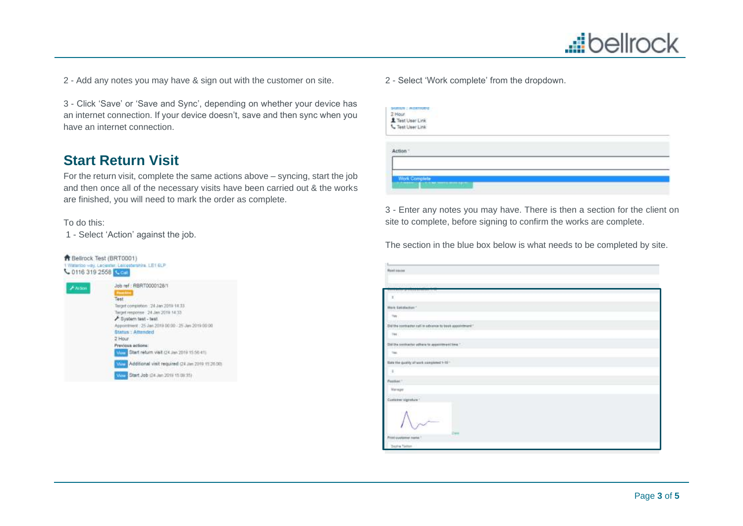

2 - Add any notes you may have & sign out with the customer on site.

3 - Click 'Save' or 'Save and Sync', depending on whether your device has an internet connection. If your device doesn't, save and then sync when you have an internet connection.

### **Start Return Visit**

For the return visit, complete the same actions above – syncing, start the job and then once all of the necessary visits have been carried out & the works are finished, you will need to mark the order as complete.

#### To do this:

1 - Select 'Action' against the job.



2 - Select 'Work complete' from the dropdown.

| $2$ within $a$<br>2 Hour<br><u>*</u> Test User Link<br>** Test User Link |  |  |
|--------------------------------------------------------------------------|--|--|
|                                                                          |  |  |
| Work Complete<br>-----                                                   |  |  |

3 - Enter any notes you may have. There is then a section for the client on site to complete, before signing to confirm the works are complete.

The section in the blue box below is what needs to be completed by site.

| L.                                                                        |
|---------------------------------------------------------------------------|
| <b>Rust cause</b>                                                         |
| County Mercury and the State                                              |
| <b>The Control Control Control</b>                                        |
| $\mathbb{R}$                                                              |
| Werk Satifaction."                                                        |
| $-76$<br><b>Londa</b>                                                     |
| <b>COMPANY</b><br>Did the combaster call in advance to book appointment." |
| 798.                                                                      |
| Did the system to athen to approximate time."                             |
| Total                                                                     |
| they the quality of work completed to the                                 |
| $\rightarrow$                                                             |
| Pastiac."                                                                 |
| Manager                                                                   |
| Customer eigenfule 1                                                      |
| Dani                                                                      |
| Prest customer name 1                                                     |
| <b>Zapha Tellon</b>                                                       |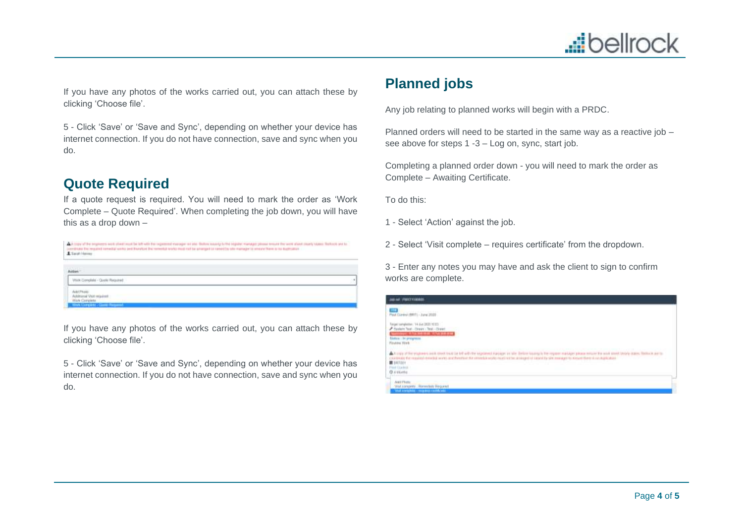

If you have any photos of the works carried out, you can attach these by clicking 'Choose file'.

5 - Click 'Save' or 'Save and Sync', depending on whether your device has internet connection. If you do not have connection, save and sync when you do.

### **Quote Required**

If a quote request is required. You will need to mark the order as 'Work Complete – Quote Required'. When completing the job down, you will have this as a drop down –

|                 | A hope of the propheses work of each yout fail lath with this incompaned sharepoint or jobs. Bottom insurally furthel edgabet manager please from the for work about those charty islands that hold on the line |  |  |
|-----------------|-----------------------------------------------------------------------------------------------------------------------------------------------------------------------------------------------------------------|--|--|
|                 | constitute the regulard remedial works jeed that this remedial or this must not be advanged in ranged by who manager to strepe them is no diagnositive.                                                         |  |  |
| L'Escoli Harres |                                                                                                                                                                                                                 |  |  |

| <b>TERRITA</b><br>Arlen:                                                         |  |
|----------------------------------------------------------------------------------|--|
| Werk Complaint - Quele Required                                                  |  |
| Add Photo:<br>Additional Visit required:<br>Wark Coiniplets<br><b>STATISTICS</b> |  |

If you have any photos of the works carried out, you can attach these by clicking 'Choose file'.

5 - Click 'Save' or 'Save and Sync', depending on whether your device has internet connection. If you do not have connection, save and sync when you do.

# **Planned jobs**

Any job relating to planned works will begin with a PRDC.

Planned orders will need to be started in the same way as a reactive job – see above for steps 1 -3 – Log on, sync, start job.

Completing a planned order down - you will need to mark the order as Complete – Awaiting Certificate.

To do this:

1 - Select 'Action' against the job.

2 - Select 'Visit complete – requires certificate' from the dropdown.

3 - Enter any notes you may have and ask the client to sign to confirm works are complete.

| JABAR, FRECENSIAN                                                                                                                                                                                                                                                                                                                                                                                                        |  |
|--------------------------------------------------------------------------------------------------------------------------------------------------------------------------------------------------------------------------------------------------------------------------------------------------------------------------------------------------------------------------------------------------------------------------|--|
| Ped Davis (BRT) - June 2020                                                                                                                                                                                                                                                                                                                                                                                              |  |
| CEST SERE In 6.9 C. nottedgrina t legis<br>A Sealers Test - Dream / Test - Dream<br><b>Committee Editor Secretary Office Editor</b><br><b>Status : In programs</b><br><b>Indian Hitch</b>                                                                                                                                                                                                                                |  |
| A A since of the analysis with street trust be to be with the interior of an appear or sile. Below toward in the require markings please enture the work down todally states, filling a series<br>coverage for required remedial worth and Portfloot for introducing to rest incident at langed of langed of langed by site manager to steam Harm is conspicitually<br><b>第1417001</b><br>Fost Etawali<br><b>DAVIONE</b> |  |
| <b>Stat concerts</b> . Horwritels Heguesd<br>And consider company cards and                                                                                                                                                                                                                                                                                                                                              |  |